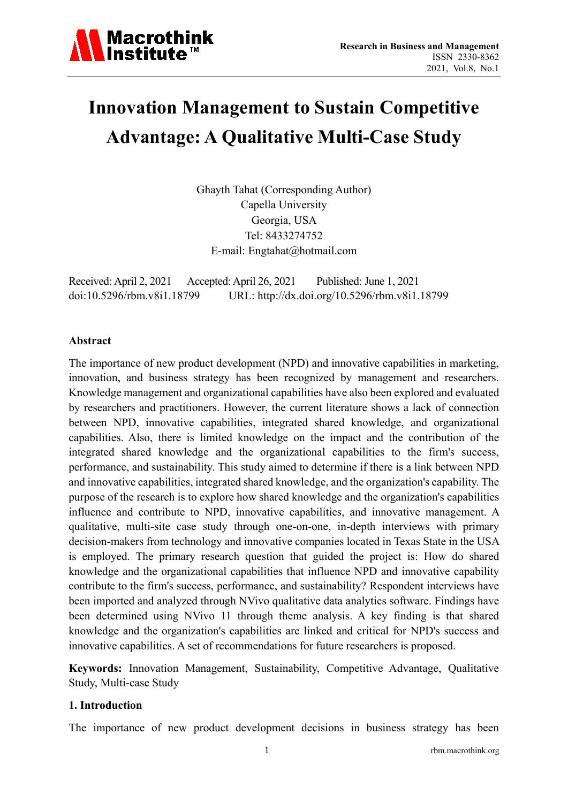

# **Innovation Management to Sustain Competitive Advantage: A Qualitative Multi-Case Study**

Ghayth Tahat (Corresponding Author) Capella University Georgia, USA Tel: 8433274752 E-mail: Engtahat@hotmail.com

Received: April 2, 2021 Accepted: April 26, 2021 Published: June 1, 2021 doi:10.5296/rbm.v8i1.18799 URL: http://dx.doi.org/10.5296/rbm.v8i1.18799

#### **Abstract**

The importance of new product development (NPD) and innovative capabilities in marketing, innovation, and business strategy has been recognized by management and researchers. Knowledge management and organizational capabilities have also been explored and evaluated by researchers and practitioners. However, the current literature shows a lack of connection between NPD, innovative capabilities, integrated shared knowledge, and organizational capabilities. Also, there is limited knowledge on the impact and the contribution of the integrated shared knowledge and the organizational capabilities to the firm's success, performance, and sustainability. This study aimed to determine if there is a link between NPD and innovative capabilities, integrated shared knowledge, and the organization's capability. The purpose of the research is to explore how shared knowledge and the organization's capabilities influence and contribute to NPD, innovative capabilities, and innovative management. A qualitative, multi-site case study through one-on-one, in-depth interviews with primary decision-makers from technology and innovative companies located in Texas State in the USA is employed. The primary research question that guided the project is: How do shared knowledge and the organizational capabilities that influence NPD and innovative capability contribute to the firm's success, performance, and sustainability? Respondent interviews have been imported and analyzed through NVivo qualitative data analytics software. Findings have been determined using NVivo 11 through theme analysis. A key finding is that shared knowledge and the organization's capabilities are linked and critical for NPD's success and innovative capabilities. A set of recommendations for future researchers is proposed.

**Keywords:** Innovation Management, Sustainability, Competitive Advantage, Qualitative Study, Multi-case Study

#### **1. Introduction**

The importance of new product development decisions in business strategy has been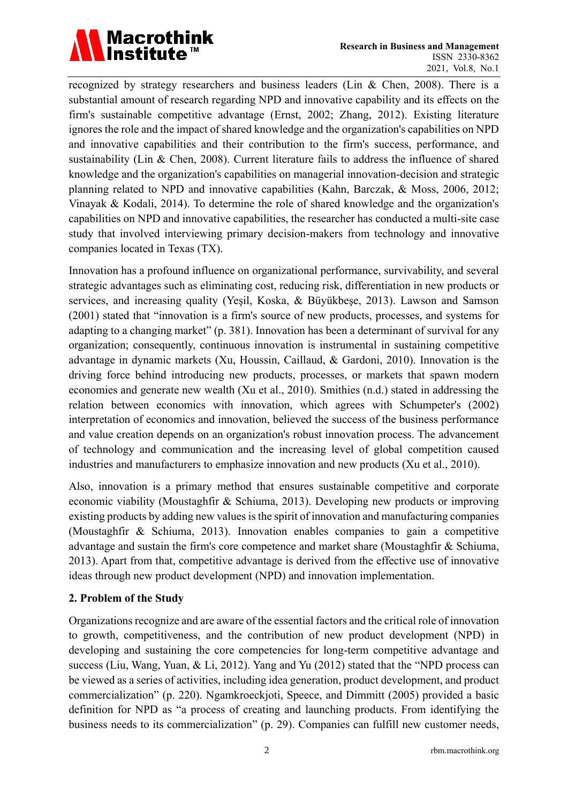

recognized by strategy researchers and business leaders (Lin & Chen, 2008). There is a substantial amount of research regarding NPD and innovative capability and its effects on the firm's sustainable competitive advantage (Ernst, 2002; Zhang, 2012). Existing literature ignores the role and the impact of shared knowledge and the organization's capabilities on NPD and innovative capabilities and their contribution to the firm's success, performance, and sustainability (Lin & Chen, 2008). Current literature fails to address the influence of shared knowledge and the organization's capabilities on managerial innovation-decision and strategic planning related to NPD and innovative capabilities (Kahn, Barczak, & Moss, 2006, 2012; Vinayak & Kodali, 2014). To determine the role of shared knowledge and the organization's capabilities on NPD and innovative capabilities, the researcher has conducted a multi-site case study that involved interviewing primary decision-makers from technology and innovative companies located in Texas (TX).

Innovation has a profound influence on organizational performance, survivability, and several strategic advantages such as eliminating cost, reducing risk, differentiation in new products or services, and increasing quality (Yeşil, Koska, & Büyükbeşe, 2013). Lawson and Samson (2001) stated that "innovation is a firm's source of new products, processes, and systems for adapting to a changing market" (p. 381). Innovation has been a determinant of survival for any organization; consequently, continuous innovation is instrumental in sustaining competitive advantage in dynamic markets (Xu, Houssin, Caillaud, & Gardoni, 2010). Innovation is the driving force behind introducing new products, processes, or markets that spawn modern economies and generate new wealth (Xu et al., 2010). Smithies (n.d.) stated in addressing the relation between economics with innovation, which agrees with Schumpeter's (2002) interpretation of economics and innovation, believed the success of the business performance and value creation depends on an organization's robust innovation process. The advancement of technology and communication and the increasing level of global competition caused industries and manufacturers to emphasize innovation and new products (Xu et al., 2010).

Also, innovation is a primary method that ensures sustainable competitive and corporate economic viability (Moustaghfir & Schiuma, 2013). Developing new products or improving existing products by adding new values is the spirit of innovation and manufacturing companies (Moustaghfir & Schiuma, 2013). Innovation enables companies to gain a competitive advantage and sustain the firm's core competence and market share (Moustaghfir & Schiuma, 2013). Apart from that, competitive advantage is derived from the effective use of innovative ideas through new product development (NPD) and innovation implementation.

# **2. Problem of the Study**

Organizations recognize and are aware of the essential factors and the critical role of innovation to growth, competitiveness, and the contribution of new product development (NPD) in developing and sustaining the core competencies for long-term competitive advantage and success (Liu, Wang, Yuan, & Li, 2012). Yang and Yu (2012) stated that the "NPD process can be viewed as a series of activities, including idea generation, product development, and product commercialization" (p. 220). Ngamkroeckjoti, Speece, and Dimmitt (2005) provided a basic definition for NPD as "a process of creating and launching products. From identifying the business needs to its commercialization" (p. 29). Companies can fulfill new customer needs,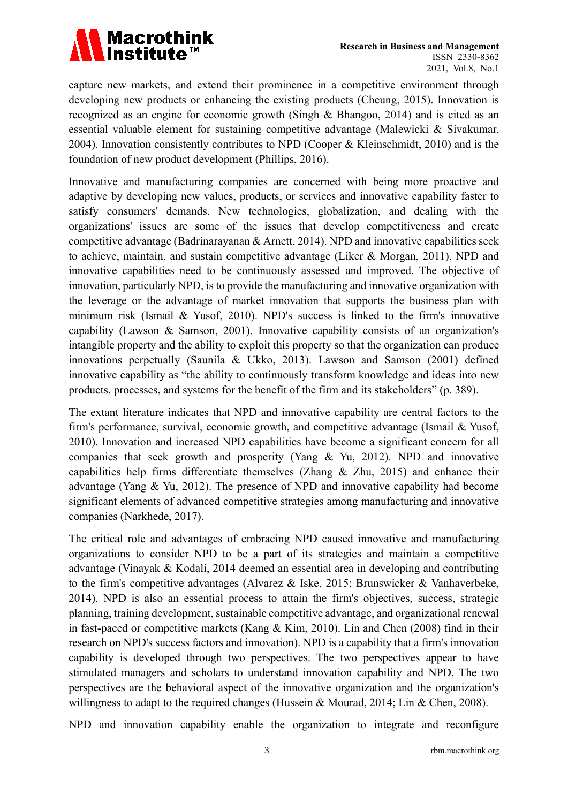

capture new markets, and extend their prominence in a competitive environment through developing new products or enhancing the existing products (Cheung, 2015). Innovation is recognized as an engine for economic growth (Singh & Bhangoo, 2014) and is cited as an essential valuable element for sustaining competitive advantage (Malewicki & Sivakumar, 2004). Innovation consistently contributes to NPD (Cooper & Kleinschmidt, 2010) and is the foundation of new product development (Phillips, 2016).

Innovative and manufacturing companies are concerned with being more proactive and adaptive by developing new values, products, or services and innovative capability faster to satisfy consumers' demands. New technologies, globalization, and dealing with the organizations' issues are some of the issues that develop competitiveness and create competitive advantage (Badrinarayanan & Arnett, 2014). NPD and innovative capabilities seek to achieve, maintain, and sustain competitive advantage (Liker & Morgan, 2011). NPD and innovative capabilities need to be continuously assessed and improved. The objective of innovation, particularly NPD, is to provide the manufacturing and innovative organization with the leverage or the advantage of market innovation that supports the business plan with minimum risk (Ismail & Yusof, 2010). NPD's success is linked to the firm's innovative capability (Lawson & Samson, 2001). Innovative capability consists of an organization's intangible property and the ability to exploit this property so that the organization can produce innovations perpetually (Saunila & Ukko, 2013). Lawson and Samson (2001) defined innovative capability as "the ability to continuously transform knowledge and ideas into new products, processes, and systems for the benefit of the firm and its stakeholders" (p. 389).

The extant literature indicates that NPD and innovative capability are central factors to the firm's performance, survival, economic growth, and competitive advantage (Ismail & Yusof, 2010). Innovation and increased NPD capabilities have become a significant concern for all companies that seek growth and prosperity (Yang & Yu, 2012). NPD and innovative capabilities help firms differentiate themselves (Zhang & Zhu, 2015) and enhance their advantage (Yang & Yu, 2012). The presence of NPD and innovative capability had become significant elements of advanced competitive strategies among manufacturing and innovative companies (Narkhede, 2017).

The critical role and advantages of embracing NPD caused innovative and manufacturing organizations to consider NPD to be a part of its strategies and maintain a competitive advantage (Vinayak & Kodali, 2014 deemed an essential area in developing and contributing to the firm's competitive advantages (Alvarez & Iske, 2015; Brunswicker & Vanhaverbeke, 2014). NPD is also an essential process to attain the firm's objectives, success, strategic planning, training development, sustainable competitive advantage, and organizational renewal in fast-paced or competitive markets (Kang & Kim, 2010). Lin and Chen (2008) find in their research on NPD's success factors and innovation). NPD is a capability that a firm's innovation capability is developed through two perspectives. The two perspectives appear to have stimulated managers and scholars to understand innovation capability and NPD. The two perspectives are the behavioral aspect of the innovative organization and the organization's willingness to adapt to the required changes (Hussein & Mourad, 2014; Lin & Chen, 2008).

NPD and innovation capability enable the organization to integrate and reconfigure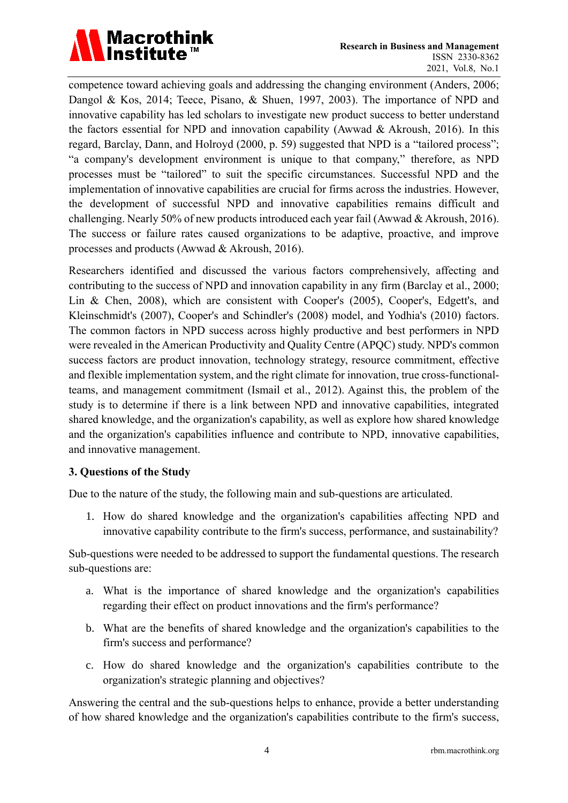

competence toward achieving goals and addressing the changing environment (Anders, 2006; Dangol & Kos, 2014; Teece, Pisano, & Shuen, 1997, 2003). The importance of NPD and innovative capability has led scholars to investigate new product success to better understand the factors essential for NPD and innovation capability (Awwad & Akroush, 2016). In this regard, Barclay, Dann, and Holroyd (2000, p. 59) suggested that NPD is a "tailored process"; "a company's development environment is unique to that company," therefore, as NPD processes must be "tailored" to suit the specific circumstances. Successful NPD and the implementation of innovative capabilities are crucial for firms across the industries. However, the development of successful NPD and innovative capabilities remains difficult and challenging. Nearly 50% of new products introduced each year fail (Awwad & Akroush, 2016). The success or failure rates caused organizations to be adaptive, proactive, and improve processes and products (Awwad & Akroush, 2016).

Researchers identified and discussed the various factors comprehensively, affecting and contributing to the success of NPD and innovation capability in any firm (Barclay et al., 2000; Lin & Chen, 2008), which are consistent with Cooper's (2005), Cooper's, Edgett's, and Kleinschmidt's (2007), Cooper's and Schindler's (2008) model, and Yodhia's (2010) factors. The common factors in NPD success across highly productive and best performers in NPD were revealed in the American Productivity and Quality Centre (APQC) study. NPD's common success factors are product innovation, technology strategy, resource commitment, effective and flexible implementation system, and the right climate for innovation, true cross-functionalteams, and management commitment (Ismail et al., 2012). Against this, the problem of the study is to determine if there is a link between NPD and innovative capabilities, integrated shared knowledge, and the organization's capability, as well as explore how shared knowledge and the organization's capabilities influence and contribute to NPD, innovative capabilities, and innovative management.

#### **3. Questions of the Study**

Due to the nature of the study, the following main and sub-questions are articulated.

1. How do shared knowledge and the organization's capabilities affecting NPD and innovative capability contribute to the firm's success, performance, and sustainability?

Sub-questions were needed to be addressed to support the fundamental questions. The research sub-questions are:

- a. What is the importance of shared knowledge and the organization's capabilities regarding their effect on product innovations and the firm's performance?
- b. What are the benefits of shared knowledge and the organization's capabilities to the firm's success and performance?
- c. How do shared knowledge and the organization's capabilities contribute to the organization's strategic planning and objectives?

Answering the central and the sub-questions helps to enhance, provide a better understanding of how shared knowledge and the organization's capabilities contribute to the firm's success,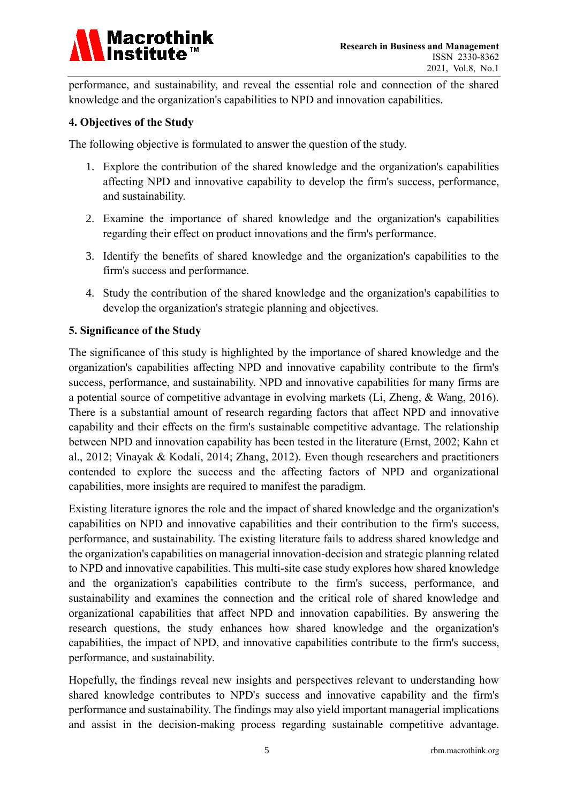

performance, and sustainability, and reveal the essential role and connection of the shared knowledge and the organization's capabilities to NPD and innovation capabilities.

#### **4. Objectives of the Study**

The following objective is formulated to answer the question of the study.

- 1. Explore the contribution of the shared knowledge and the organization's capabilities affecting NPD and innovative capability to develop the firm's success, performance, and sustainability.
- 2. Examine the importance of shared knowledge and the organization's capabilities regarding their effect on product innovations and the firm's performance.
- 3. Identify the benefits of shared knowledge and the organization's capabilities to the firm's success and performance.
- 4. Study the contribution of the shared knowledge and the organization's capabilities to develop the organization's strategic planning and objectives.

#### **5. Significance of the Study**

The significance of this study is highlighted by the importance of shared knowledge and the organization's capabilities affecting NPD and innovative capability contribute to the firm's success, performance, and sustainability. NPD and innovative capabilities for many firms are a potential source of competitive advantage in evolving markets (Li, Zheng, & Wang, 2016). There is a substantial amount of research regarding factors that affect NPD and innovative capability and their effects on the firm's sustainable competitive advantage. The relationship between NPD and innovation capability has been tested in the literature (Ernst, 2002; Kahn et al., 2012; Vinayak & Kodali, 2014; Zhang, 2012). Even though researchers and practitioners contended to explore the success and the affecting factors of NPD and organizational capabilities, more insights are required to manifest the paradigm.

Existing literature ignores the role and the impact of shared knowledge and the organization's capabilities on NPD and innovative capabilities and their contribution to the firm's success, performance, and sustainability. The existing literature fails to address shared knowledge and the organization's capabilities on managerial innovation-decision and strategic planning related to NPD and innovative capabilities. This multi-site case study explores how shared knowledge and the organization's capabilities contribute to the firm's success, performance, and sustainability and examines the connection and the critical role of shared knowledge and organizational capabilities that affect NPD and innovation capabilities. By answering the research questions, the study enhances how shared knowledge and the organization's capabilities, the impact of NPD, and innovative capabilities contribute to the firm's success, performance, and sustainability.

Hopefully, the findings reveal new insights and perspectives relevant to understanding how shared knowledge contributes to NPD's success and innovative capability and the firm's performance and sustainability. The findings may also yield important managerial implications and assist in the decision-making process regarding sustainable competitive advantage.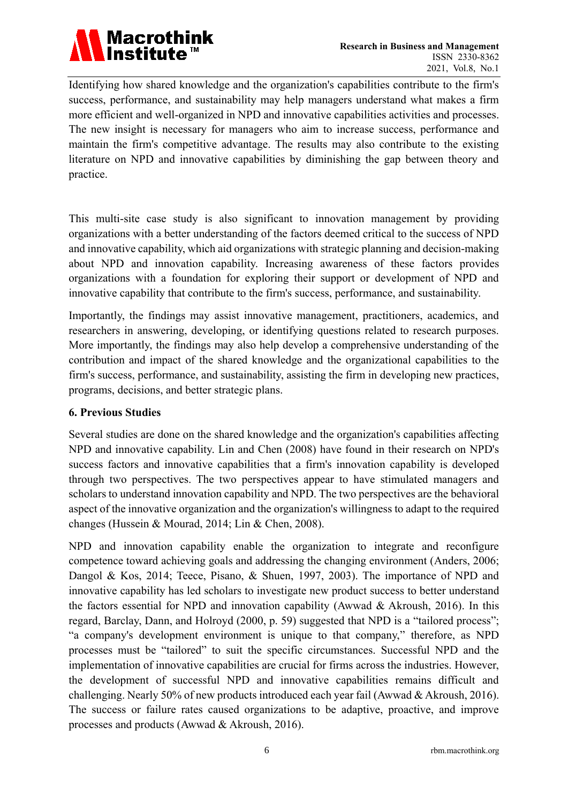

Identifying how shared knowledge and the organization's capabilities contribute to the firm's success, performance, and sustainability may help managers understand what makes a firm more efficient and well-organized in NPD and innovative capabilities activities and processes. The new insight is necessary for managers who aim to increase success, performance and maintain the firm's competitive advantage. The results may also contribute to the existing literature on NPD and innovative capabilities by diminishing the gap between theory and practice.

This multi-site case study is also significant to innovation management by providing organizations with a better understanding of the factors deemed critical to the success of NPD and innovative capability, which aid organizations with strategic planning and decision-making about NPD and innovation capability. Increasing awareness of these factors provides organizations with a foundation for exploring their support or development of NPD and innovative capability that contribute to the firm's success, performance, and sustainability.

Importantly, the findings may assist innovative management, practitioners, academics, and researchers in answering, developing, or identifying questions related to research purposes. More importantly, the findings may also help develop a comprehensive understanding of the contribution and impact of the shared knowledge and the organizational capabilities to the firm's success, performance, and sustainability, assisting the firm in developing new practices, programs, decisions, and better strategic plans.

# **6. Previous Studies**

Several studies are done on the shared knowledge and the organization's capabilities affecting NPD and innovative capability. Lin and Chen (2008) have found in their research on NPD's success factors and innovative capabilities that a firm's innovation capability is developed through two perspectives. The two perspectives appear to have stimulated managers and scholars to understand innovation capability and NPD. The two perspectives are the behavioral aspect of the innovative organization and the organization's willingness to adapt to the required changes (Hussein & Mourad, 2014; Lin & Chen, 2008).

NPD and innovation capability enable the organization to integrate and reconfigure competence toward achieving goals and addressing the changing environment (Anders, 2006; Dangol & Kos, 2014; Teece, Pisano, & Shuen, 1997, 2003). The importance of NPD and innovative capability has led scholars to investigate new product success to better understand the factors essential for NPD and innovation capability (Awwad & Akroush, 2016). In this regard, Barclay, Dann, and Holroyd (2000, p. 59) suggested that NPD is a "tailored process"; "a company's development environment is unique to that company," therefore, as NPD processes must be "tailored" to suit the specific circumstances. Successful NPD and the implementation of innovative capabilities are crucial for firms across the industries. However, the development of successful NPD and innovative capabilities remains difficult and challenging. Nearly 50% of new products introduced each year fail (Awwad & Akroush, 2016). The success or failure rates caused organizations to be adaptive, proactive, and improve processes and products (Awwad & Akroush, 2016).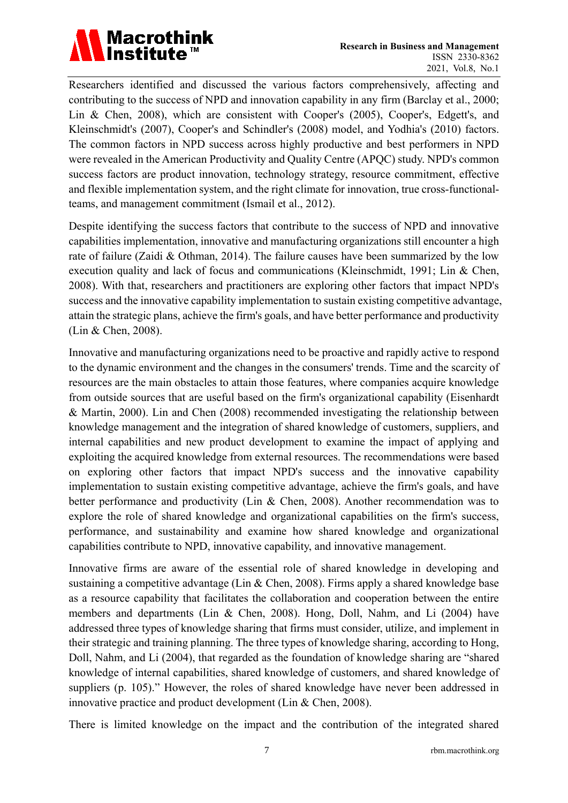

Researchers identified and discussed the various factors comprehensively, affecting and contributing to the success of NPD and innovation capability in any firm (Barclay et al., 2000; Lin & Chen, 2008), which are consistent with Cooper's (2005), Cooper's, Edgett's, and Kleinschmidt's (2007), Cooper's and Schindler's (2008) model, and Yodhia's (2010) factors. The common factors in NPD success across highly productive and best performers in NPD were revealed in the American Productivity and Quality Centre (APQC) study. NPD's common success factors are product innovation, technology strategy, resource commitment, effective and flexible implementation system, and the right climate for innovation, true cross-functionalteams, and management commitment (Ismail et al., 2012).

Despite identifying the success factors that contribute to the success of NPD and innovative capabilities implementation, innovative and manufacturing organizations still encounter a high rate of failure (Zaidi & Othman, 2014). The failure causes have been summarized by the low execution quality and lack of focus and communications (Kleinschmidt, 1991; Lin & Chen, 2008). With that, researchers and practitioners are exploring other factors that impact NPD's success and the innovative capability implementation to sustain existing competitive advantage, attain the strategic plans, achieve the firm's goals, and have better performance and productivity (Lin & Chen, 2008).

Innovative and manufacturing organizations need to be proactive and rapidly active to respond to the dynamic environment and the changes in the consumers' trends. Time and the scarcity of resources are the main obstacles to attain those features, where companies acquire knowledge from outside sources that are useful based on the firm's organizational capability (Eisenhardt & Martin, 2000). Lin and Chen (2008) recommended investigating the relationship between knowledge management and the integration of shared knowledge of customers, suppliers, and internal capabilities and new product development to examine the impact of applying and exploiting the acquired knowledge from external resources. The recommendations were based on exploring other factors that impact NPD's success and the innovative capability implementation to sustain existing competitive advantage, achieve the firm's goals, and have better performance and productivity (Lin & Chen, 2008). Another recommendation was to explore the role of shared knowledge and organizational capabilities on the firm's success, performance, and sustainability and examine how shared knowledge and organizational capabilities contribute to NPD, innovative capability, and innovative management.

Innovative firms are aware of the essential role of shared knowledge in developing and sustaining a competitive advantage (Lin & Chen, 2008). Firms apply a shared knowledge base as a resource capability that facilitates the collaboration and cooperation between the entire members and departments (Lin & Chen, 2008). Hong, Doll, Nahm, and Li (2004) have addressed three types of knowledge sharing that firms must consider, utilize, and implement in their strategic and training planning. The three types of knowledge sharing, according to Hong, Doll, Nahm, and Li (2004), that regarded as the foundation of knowledge sharing are "shared knowledge of internal capabilities, shared knowledge of customers, and shared knowledge of suppliers (p. 105)." However, the roles of shared knowledge have never been addressed in innovative practice and product development (Lin & Chen, 2008).

There is limited knowledge on the impact and the contribution of the integrated shared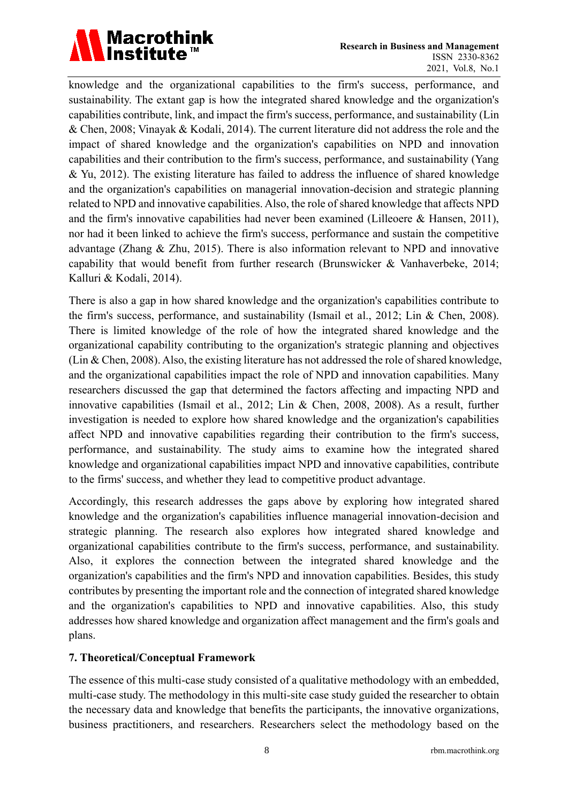

knowledge and the organizational capabilities to the firm's success, performance, and sustainability. The extant gap is how the integrated shared knowledge and the organization's capabilities contribute, link, and impact the firm's success, performance, and sustainability (Lin & Chen, 2008; Vinayak & Kodali, 2014). The current literature did not address the role and the impact of shared knowledge and the organization's capabilities on NPD and innovation capabilities and their contribution to the firm's success, performance, and sustainability (Yang & Yu, 2012). The existing literature has failed to address the influence of shared knowledge and the organization's capabilities on managerial innovation-decision and strategic planning related to NPD and innovative capabilities. Also, the role of shared knowledge that affects NPD and the firm's innovative capabilities had never been examined (Lilleoere & Hansen, 2011), nor had it been linked to achieve the firm's success, performance and sustain the competitive advantage (Zhang & Zhu, 2015). There is also information relevant to NPD and innovative capability that would benefit from further research (Brunswicker & Vanhaverbeke, 2014; Kalluri & Kodali, 2014).

There is also a gap in how shared knowledge and the organization's capabilities contribute to the firm's success, performance, and sustainability (Ismail et al., 2012; Lin & Chen, 2008). There is limited knowledge of the role of how the integrated shared knowledge and the organizational capability contributing to the organization's strategic planning and objectives (Lin & Chen, 2008). Also, the existing literature has not addressed the role of shared knowledge, and the organizational capabilities impact the role of NPD and innovation capabilities. Many researchers discussed the gap that determined the factors affecting and impacting NPD and innovative capabilities (Ismail et al., 2012; Lin & Chen, 2008, 2008). As a result, further investigation is needed to explore how shared knowledge and the organization's capabilities affect NPD and innovative capabilities regarding their contribution to the firm's success, performance, and sustainability. The study aims to examine how the integrated shared knowledge and organizational capabilities impact NPD and innovative capabilities, contribute to the firms' success, and whether they lead to competitive product advantage.

Accordingly, this research addresses the gaps above by exploring how integrated shared knowledge and the organization's capabilities influence managerial innovation-decision and strategic planning. The research also explores how integrated shared knowledge and organizational capabilities contribute to the firm's success, performance, and sustainability. Also, it explores the connection between the integrated shared knowledge and the organization's capabilities and the firm's NPD and innovation capabilities. Besides, this study contributes by presenting the important role and the connection of integrated shared knowledge and the organization's capabilities to NPD and innovative capabilities. Also, this study addresses how shared knowledge and organization affect management and the firm's goals and plans.

# **7. Theoretical/Conceptual Framework**

The essence of this multi-case study consisted of a qualitative methodology with an embedded, multi-case study. The methodology in this multi-site case study guided the researcher to obtain the necessary data and knowledge that benefits the participants, the innovative organizations, business practitioners, and researchers. Researchers select the methodology based on the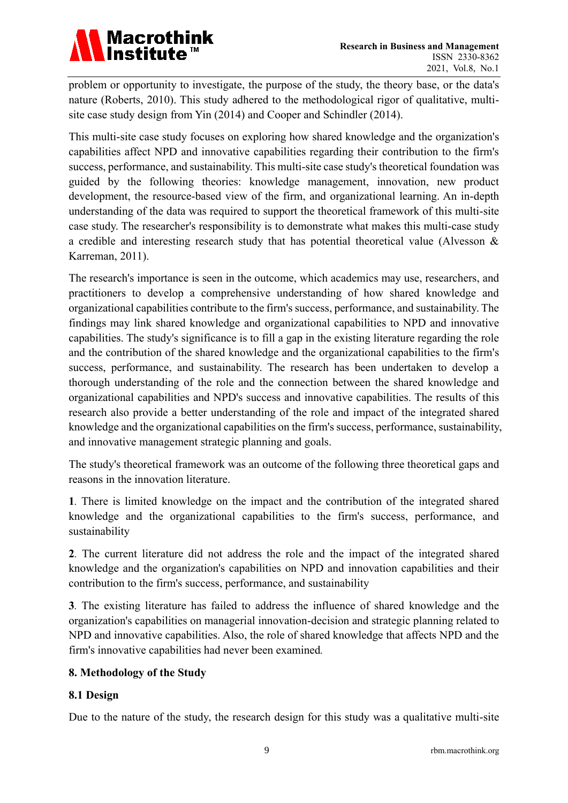

problem or opportunity to investigate, the purpose of the study, the theory base, or the data's nature (Roberts, 2010). This study adhered to the methodological rigor of qualitative, multisite case study design from Yin (2014) and Cooper and Schindler (2014).

This multi-site case study focuses on exploring how shared knowledge and the organization's capabilities affect NPD and innovative capabilities regarding their contribution to the firm's success, performance, and sustainability. This multi-site case study's theoretical foundation was guided by the following theories: knowledge management, innovation, new product development, the resource-based view of the firm, and organizational learning. An in-depth understanding of the data was required to support the theoretical framework of this multi-site case study. The researcher's responsibility is to demonstrate what makes this multi-case study a credible and interesting research study that has potential theoretical value (Alvesson & Karreman, 2011).

The research's importance is seen in the outcome, which academics may use, researchers, and practitioners to develop a comprehensive understanding of how shared knowledge and organizational capabilities contribute to the firm's success, performance, and sustainability. The findings may link shared knowledge and organizational capabilities to NPD and innovative capabilities. The study's significance is to fill a gap in the existing literature regarding the role and the contribution of the shared knowledge and the organizational capabilities to the firm's success, performance, and sustainability. The research has been undertaken to develop a thorough understanding of the role and the connection between the shared knowledge and organizational capabilities and NPD's success and innovative capabilities. The results of this research also provide a better understanding of the role and impact of the integrated shared knowledge and the organizational capabilities on the firm's success, performance, sustainability, and innovative management strategic planning and goals.

The study's theoretical framework was an outcome of the following three theoretical gaps and reasons in the innovation literature.

**1***.* There is limited knowledge on the impact and the contribution of the integrated shared knowledge and the organizational capabilities to the firm's success, performance, and sustainability

**2***.* The current literature did not address the role and the impact of the integrated shared knowledge and the organization's capabilities on NPD and innovation capabilities and their contribution to the firm's success, performance, and sustainability

**3***.* The existing literature has failed to address the influence of shared knowledge and the organization's capabilities on managerial innovation-decision and strategic planning related to NPD and innovative capabilities. Also, the role of shared knowledge that affects NPD and the firm's innovative capabilities had never been examined*.*

# **8. Methodology of the Study**

# **8.1 Design**

Due to the nature of the study, the research design for this study was a qualitative multi-site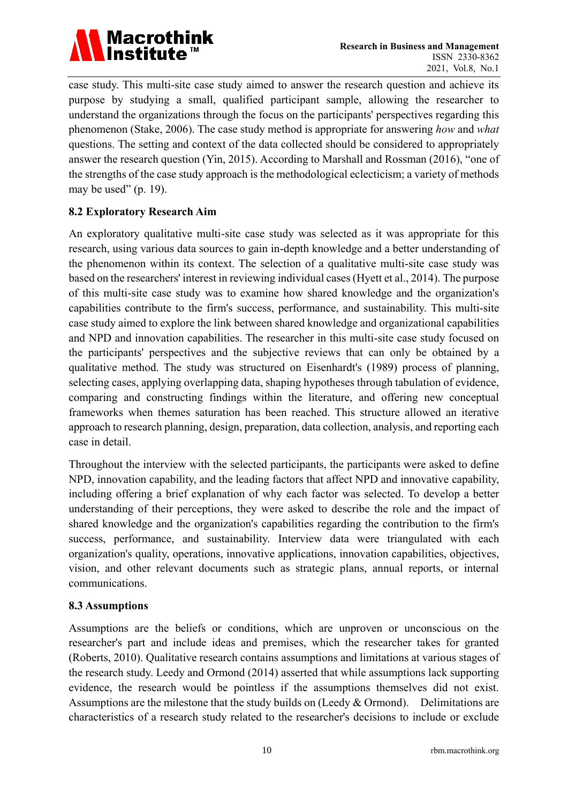

case study. This multi-site case study aimed to answer the research question and achieve its purpose by studying a small, qualified participant sample, allowing the researcher to understand the organizations through the focus on the participants' perspectives regarding this phenomenon (Stake, 2006). The case study method is appropriate for answering *how* and *what* questions. The setting and context of the data collected should be considered to appropriately answer the research question (Yin, 2015). According to Marshall and Rossman (2016), "one of the strengths of the case study approach is the methodological eclecticism; a variety of methods may be used"  $(p. 19)$ .

# **8.2 Exploratory Research Aim**

An exploratory qualitative multi-site case study was selected as it was appropriate for this research, using various data sources to gain in-depth knowledge and a better understanding of the phenomenon within its context. The selection of a qualitative multi-site case study was based on the researchers' interest in reviewing individual cases (Hyett et al., 2014). The purpose of this multi-site case study was to examine how shared knowledge and the organization's capabilities contribute to the firm's success, performance, and sustainability. This multi-site case study aimed to explore the link between shared knowledge and organizational capabilities and NPD and innovation capabilities. The researcher in this multi-site case study focused on the participants' perspectives and the subjective reviews that can only be obtained by a qualitative method. The study was structured on Eisenhardt's (1989) process of planning, selecting cases, applying overlapping data, shaping hypotheses through tabulation of evidence, comparing and constructing findings within the literature, and offering new conceptual frameworks when themes saturation has been reached. This structure allowed an iterative approach to research planning, design, preparation, data collection, analysis, and reporting each case in detail.

Throughout the interview with the selected participants, the participants were asked to define NPD, innovation capability, and the leading factors that affect NPD and innovative capability, including offering a brief explanation of why each factor was selected. To develop a better understanding of their perceptions, they were asked to describe the role and the impact of shared knowledge and the organization's capabilities regarding the contribution to the firm's success, performance, and sustainability. Interview data were triangulated with each organization's quality, operations, innovative applications, innovation capabilities, objectives, vision, and other relevant documents such as strategic plans, annual reports, or internal communications.

#### **8.3 Assumptions**

Assumptions are the beliefs or conditions, which are unproven or unconscious on the researcher's part and include ideas and premises, which the researcher takes for granted (Roberts, 2010). Qualitative research contains assumptions and limitations at various stages of the research study. Leedy and Ormond (2014) asserted that while assumptions lack supporting evidence, the research would be pointless if the assumptions themselves did not exist. Assumptions are the milestone that the study builds on (Leedy & Ormond). Delimitations are characteristics of a research study related to the researcher's decisions to include or exclude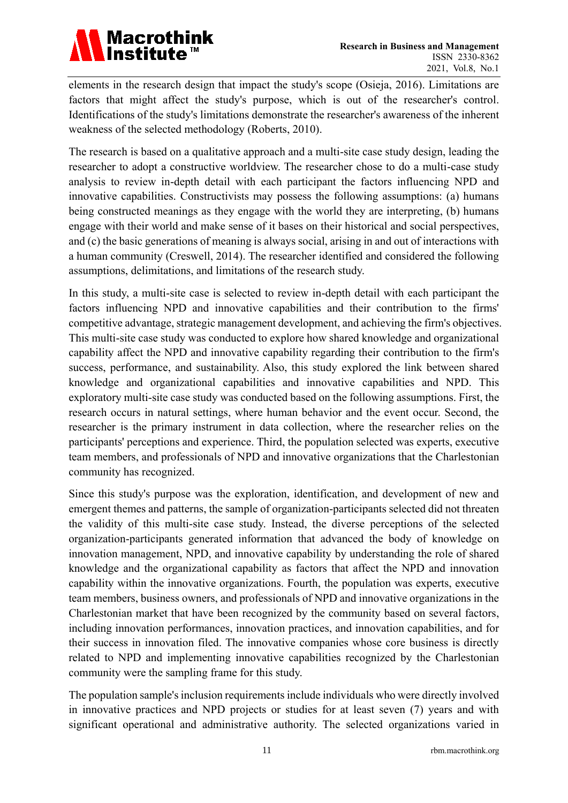

elements in the research design that impact the study's scope (Osieja, 2016). Limitations are factors that might affect the study's purpose, which is out of the researcher's control. Identifications of the study's limitations demonstrate the researcher's awareness of the inherent weakness of the selected methodology (Roberts, 2010).

The research is based on a qualitative approach and a multi-site case study design, leading the researcher to adopt a constructive worldview. The researcher chose to do a multi-case study analysis to review in-depth detail with each participant the factors influencing NPD and innovative capabilities. Constructivists may possess the following assumptions: (a) humans being constructed meanings as they engage with the world they are interpreting, (b) humans engage with their world and make sense of it bases on their historical and social perspectives, and (c) the basic generations of meaning is always social, arising in and out of interactions with a human community (Creswell, 2014). The researcher identified and considered the following assumptions, delimitations, and limitations of the research study.

In this study, a multi-site case is selected to review in-depth detail with each participant the factors influencing NPD and innovative capabilities and their contribution to the firms' competitive advantage, strategic management development, and achieving the firm's objectives. This multi-site case study was conducted to explore how shared knowledge and organizational capability affect the NPD and innovative capability regarding their contribution to the firm's success, performance, and sustainability. Also, this study explored the link between shared knowledge and organizational capabilities and innovative capabilities and NPD. This exploratory multi-site case study was conducted based on the following assumptions. First, the research occurs in natural settings, where human behavior and the event occur. Second, the researcher is the primary instrument in data collection, where the researcher relies on the participants' perceptions and experience. Third, the population selected was experts, executive team members, and professionals of NPD and innovative organizations that the Charlestonian community has recognized.

Since this study's purpose was the exploration, identification, and development of new and emergent themes and patterns, the sample of organization-participants selected did not threaten the validity of this multi-site case study. Instead, the diverse perceptions of the selected organization-participants generated information that advanced the body of knowledge on innovation management, NPD, and innovative capability by understanding the role of shared knowledge and the organizational capability as factors that affect the NPD and innovation capability within the innovative organizations. Fourth, the population was experts, executive team members, business owners, and professionals of NPD and innovative organizations in the Charlestonian market that have been recognized by the community based on several factors, including innovation performances, innovation practices, and innovation capabilities, and for their success in innovation filed. The innovative companies whose core business is directly related to NPD and implementing innovative capabilities recognized by the Charlestonian community were the sampling frame for this study.

The population sample's inclusion requirements include individuals who were directly involved in innovative practices and NPD projects or studies for at least seven (7) years and with significant operational and administrative authority. The selected organizations varied in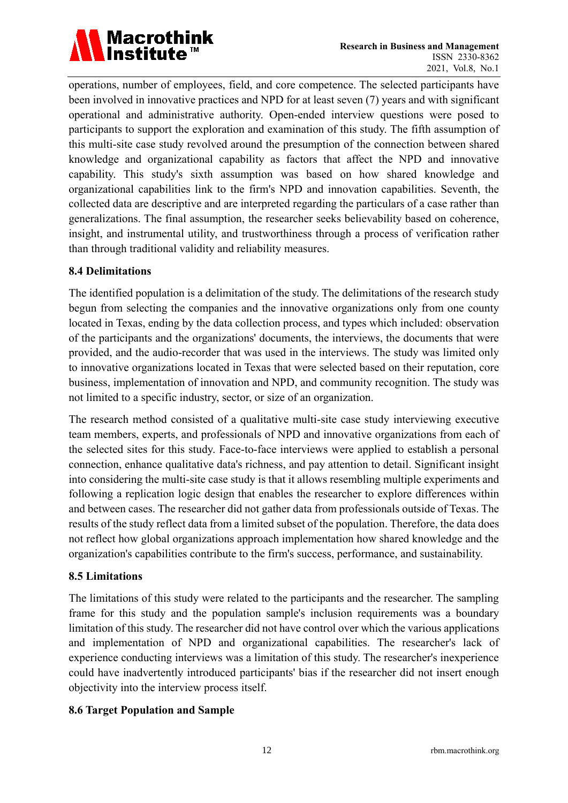

operations, number of employees, field, and core competence. The selected participants have been involved in innovative practices and NPD for at least seven (7) years and with significant operational and administrative authority. Open-ended interview questions were posed to participants to support the exploration and examination of this study. The fifth assumption of this multi-site case study revolved around the presumption of the connection between shared knowledge and organizational capability as factors that affect the NPD and innovative capability. This study's sixth assumption was based on how shared knowledge and organizational capabilities link to the firm's NPD and innovation capabilities. Seventh, the collected data are descriptive and are interpreted regarding the particulars of a case rather than generalizations. The final assumption, the researcher seeks believability based on coherence, insight, and instrumental utility, and trustworthiness through a process of verification rather than through traditional validity and reliability measures.

#### **8.4 Delimitations**

The identified population is a delimitation of the study. The delimitations of the research study begun from selecting the companies and the innovative organizations only from one county located in Texas, ending by the data collection process, and types which included: observation of the participants and the organizations' documents, the interviews, the documents that were provided, and the audio-recorder that was used in the interviews. The study was limited only to innovative organizations located in Texas that were selected based on their reputation, core business, implementation of innovation and NPD, and community recognition. The study was not limited to a specific industry, sector, or size of an organization.

The research method consisted of a qualitative multi-site case study interviewing executive team members, experts, and professionals of NPD and innovative organizations from each of the selected sites for this study. Face-to-face interviews were applied to establish a personal connection, enhance qualitative data's richness, and pay attention to detail. Significant insight into considering the multi-site case study is that it allows resembling multiple experiments and following a replication logic design that enables the researcher to explore differences within and between cases. The researcher did not gather data from professionals outside of Texas. The results of the study reflect data from a limited subset of the population. Therefore, the data does not reflect how global organizations approach implementation how shared knowledge and the organization's capabilities contribute to the firm's success, performance, and sustainability.

#### **8.5 Limitations**

The limitations of this study were related to the participants and the researcher. The sampling frame for this study and the population sample's inclusion requirements was a boundary limitation of this study. The researcher did not have control over which the various applications and implementation of NPD and organizational capabilities. The researcher's lack of experience conducting interviews was a limitation of this study. The researcher's inexperience could have inadvertently introduced participants' bias if the researcher did not insert enough objectivity into the interview process itself.

# **8.6 Target Population and Sample**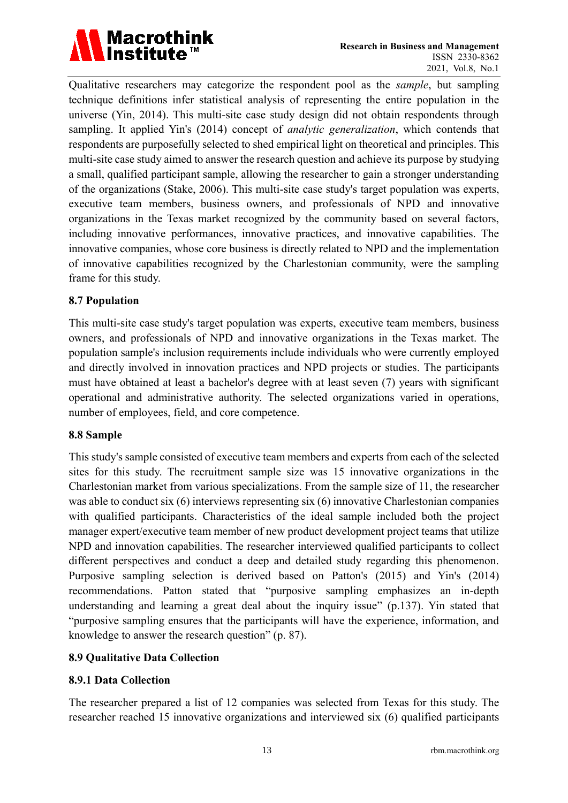

Qualitative researchers may categorize the respondent pool as the *sample*, but sampling technique definitions infer statistical analysis of representing the entire population in the universe (Yin, 2014). This multi-site case study design did not obtain respondents through sampling. It applied Yin's (2014) concept of *analytic generalization*, which contends that respondents are purposefully selected to shed empirical light on theoretical and principles. This multi-site case study aimed to answer the research question and achieve its purpose by studying a small, qualified participant sample, allowing the researcher to gain a stronger understanding of the organizations (Stake, 2006). This multi-site case study's target population was experts, executive team members, business owners, and professionals of NPD and innovative organizations in the Texas market recognized by the community based on several factors, including innovative performances, innovative practices, and innovative capabilities. The innovative companies, whose core business is directly related to NPD and the implementation of innovative capabilities recognized by the Charlestonian community, were the sampling frame for this study.

#### **8.7 Population**

This multi-site case study's target population was experts, executive team members, business owners, and professionals of NPD and innovative organizations in the Texas market. The population sample's inclusion requirements include individuals who were currently employed and directly involved in innovation practices and NPD projects or studies. The participants must have obtained at least a bachelor's degree with at least seven (7) years with significant operational and administrative authority. The selected organizations varied in operations, number of employees, field, and core competence.

#### **8.8 Sample**

This study's sample consisted of executive team members and experts from each of the selected sites for this study. The recruitment sample size was 15 innovative organizations in the Charlestonian market from various specializations. From the sample size of 11, the researcher was able to conduct six (6) interviews representing six (6) innovative Charlestonian companies with qualified participants. Characteristics of the ideal sample included both the project manager expert/executive team member of new product development project teams that utilize NPD and innovation capabilities. The researcher interviewed qualified participants to collect different perspectives and conduct a deep and detailed study regarding this phenomenon. Purposive sampling selection is derived based on Patton's (2015) and Yin's (2014) recommendations. Patton stated that "purposive sampling emphasizes an in-depth understanding and learning a great deal about the inquiry issue" (p.137). Yin stated that "purposive sampling ensures that the participants will have the experience, information, and knowledge to answer the research question" (p. 87).

# **8.9 Qualitative Data Collection**

#### **8.9.1 Data Collection**

The researcher prepared a list of 12 companies was selected from Texas for this study. The researcher reached 15 innovative organizations and interviewed six (6) qualified participants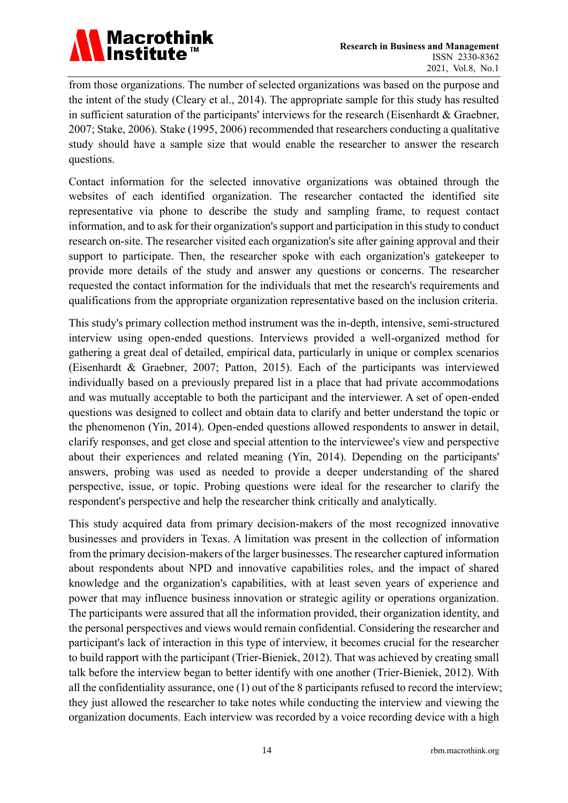

from those organizations. The number of selected organizations was based on the purpose and the intent of the study (Cleary et al., 2014). The appropriate sample for this study has resulted in sufficient saturation of the participants' interviews for the research (Eisenhardt & Graebner, 2007; Stake, 2006). Stake (1995, 2006) recommended that researchers conducting a qualitative study should have a sample size that would enable the researcher to answer the research questions.

Contact information for the selected innovative organizations was obtained through the websites of each identified organization. The researcher contacted the identified site representative via phone to describe the study and sampling frame, to request contact information, and to ask for their organization's support and participation in this study to conduct research on-site. The researcher visited each organization's site after gaining approval and their support to participate. Then, the researcher spoke with each organization's gatekeeper to provide more details of the study and answer any questions or concerns. The researcher requested the contact information for the individuals that met the research's requirements and qualifications from the appropriate organization representative based on the inclusion criteria.

This study's primary collection method instrument was the in-depth, intensive, semi-structured interview using open-ended questions. Interviews provided a well-organized method for gathering a great deal of detailed, empirical data, particularly in unique or complex scenarios (Eisenhardt & Graebner, 2007; Patton, 2015). Each of the participants was interviewed individually based on a previously prepared list in a place that had private accommodations and was mutually acceptable to both the participant and the interviewer. A set of open-ended questions was designed to collect and obtain data to clarify and better understand the topic or the phenomenon (Yin, 2014). Open-ended questions allowed respondents to answer in detail, clarify responses, and get close and special attention to the interviewee's view and perspective about their experiences and related meaning (Yin, 2014). Depending on the participants' answers, probing was used as needed to provide a deeper understanding of the shared perspective, issue, or topic. Probing questions were ideal for the researcher to clarify the respondent's perspective and help the researcher think critically and analytically.

This study acquired data from primary decision-makers of the most recognized innovative businesses and providers in Texas. A limitation was present in the collection of information from the primary decision-makers of the larger businesses. The researcher captured information about respondents about NPD and innovative capabilities roles, and the impact of shared knowledge and the organization's capabilities, with at least seven years of experience and power that may influence business innovation or strategic agility or operations organization. The participants were assured that all the information provided, their organization identity, and the personal perspectives and views would remain confidential. Considering the researcher and participant's lack of interaction in this type of interview, it becomes crucial for the researcher to build rapport with the participant (Trier-Bieniek, 2012). That was achieved by creating small talk before the interview began to better identify with one another (Trier-Bieniek, 2012). With all the confidentiality assurance, one (1) out of the 8 participants refused to record the interview; they just allowed the researcher to take notes while conducting the interview and viewing the organization documents. Each interview was recorded by a voice recording device with a high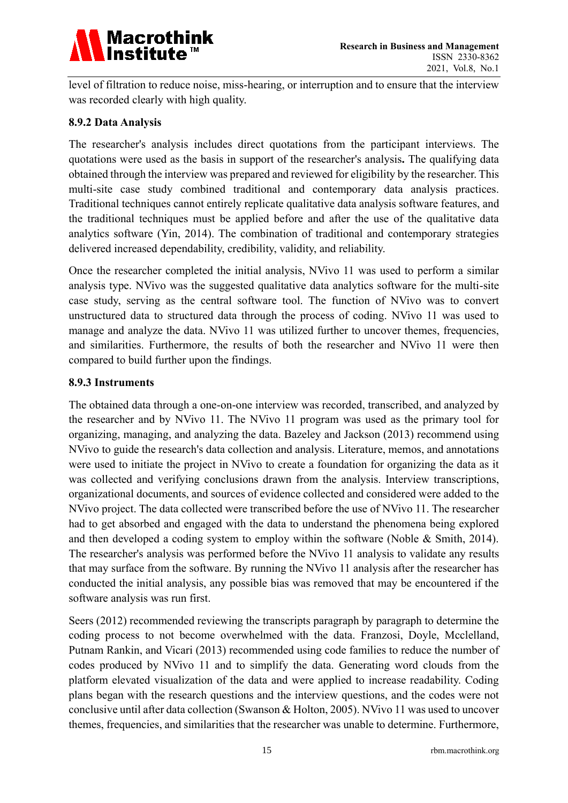

level of filtration to reduce noise, miss-hearing, or interruption and to ensure that the interview was recorded clearly with high quality.

#### **8.9.2 Data Analysis**

The researcher's analysis includes direct quotations from the participant interviews. The quotations were used as the basis in support of the researcher's analysis**.** The qualifying data obtained through the interview was prepared and reviewed for eligibility by the researcher. This multi-site case study combined traditional and contemporary data analysis practices. Traditional techniques cannot entirely replicate qualitative data analysis software features, and the traditional techniques must be applied before and after the use of the qualitative data analytics software (Yin, 2014). The combination of traditional and contemporary strategies delivered increased dependability, credibility, validity, and reliability.

Once the researcher completed the initial analysis, NVivo 11 was used to perform a similar analysis type. NVivo was the suggested qualitative data analytics software for the multi-site case study, serving as the central software tool. The function of NVivo was to convert unstructured data to structured data through the process of coding. NVivo 11 was used to manage and analyze the data. NVivo 11 was utilized further to uncover themes, frequencies, and similarities. Furthermore, the results of both the researcher and NVivo 11 were then compared to build further upon the findings.

#### **8.9.3 Instruments**

The obtained data through a one-on-one interview was recorded, transcribed, and analyzed by the researcher and by NVivo 11. The NVivo 11 program was used as the primary tool for organizing, managing, and analyzing the data. Bazeley and Jackson (2013) recommend using NVivo to guide the research's data collection and analysis. Literature, memos, and annotations were used to initiate the project in NVivo to create a foundation for organizing the data as it was collected and verifying conclusions drawn from the analysis. Interview transcriptions, organizational documents, and sources of evidence collected and considered were added to the NVivo project. The data collected were transcribed before the use of NVivo 11. The researcher had to get absorbed and engaged with the data to understand the phenomena being explored and then developed a coding system to employ within the software (Noble & Smith, 2014). The researcher's analysis was performed before the NVivo 11 analysis to validate any results that may surface from the software. By running the NVivo 11 analysis after the researcher has conducted the initial analysis, any possible bias was removed that may be encountered if the software analysis was run first.

Seers (2012) recommended reviewing the transcripts paragraph by paragraph to determine the coding process to not become overwhelmed with the data. Franzosi, Doyle, Mcclelland, Putnam Rankin, and Vicari (2013) recommended using code families to reduce the number of codes produced by NVivo 11 and to simplify the data. Generating word clouds from the platform elevated visualization of the data and were applied to increase readability. Coding plans began with the research questions and the interview questions, and the codes were not conclusive until after data collection (Swanson & Holton, 2005). NVivo 11 was used to uncover themes, frequencies, and similarities that the researcher was unable to determine. Furthermore,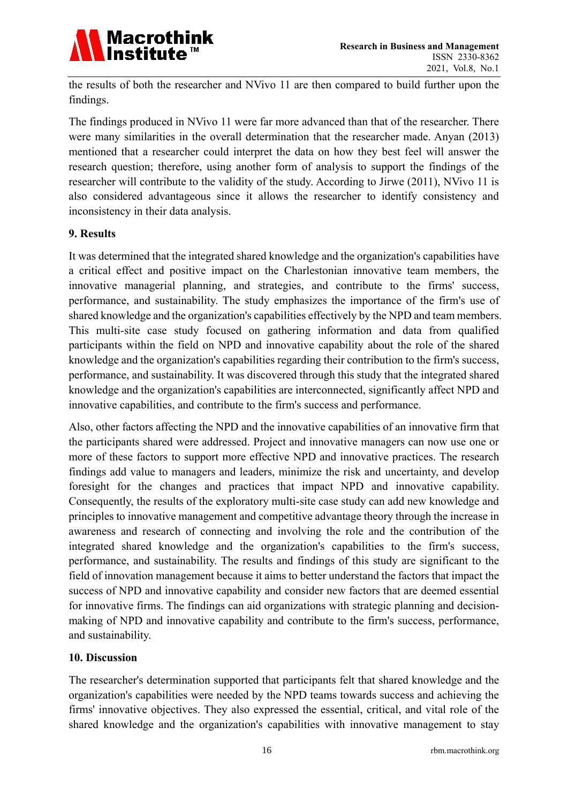

the results of both the researcher and NVivo 11 are then compared to build further upon the findings.

The findings produced in NVivo 11 were far more advanced than that of the researcher. There were many similarities in the overall determination that the researcher made. Anyan (2013) mentioned that a researcher could interpret the data on how they best feel will answer the research question; therefore, using another form of analysis to support the findings of the researcher will contribute to the validity of the study. According to Jirwe (2011), NVivo 11 is also considered advantageous since it allows the researcher to identify consistency and inconsistency in their data analysis.

#### **9. Results**

It was determined that the integrated shared knowledge and the organization's capabilities have a critical effect and positive impact on the Charlestonian innovative team members, the innovative managerial planning, and strategies, and contribute to the firms' success, performance, and sustainability. The study emphasizes the importance of the firm's use of shared knowledge and the organization's capabilities effectively by the NPD and team members. This multi-site case study focused on gathering information and data from qualified participants within the field on NPD and innovative capability about the role of the shared knowledge and the organization's capabilities regarding their contribution to the firm's success, performance, and sustainability. It was discovered through this study that the integrated shared knowledge and the organization's capabilities are interconnected, significantly affect NPD and innovative capabilities, and contribute to the firm's success and performance.

Also, other factors affecting the NPD and the innovative capabilities of an innovative firm that the participants shared were addressed. Project and innovative managers can now use one or more of these factors to support more effective NPD and innovative practices. The research findings add value to managers and leaders, minimize the risk and uncertainty, and develop foresight for the changes and practices that impact NPD and innovative capability. Consequently, the results of the exploratory multi-site case study can add new knowledge and principles to innovative management and competitive advantage theory through the increase in awareness and research of connecting and involving the role and the contribution of the integrated shared knowledge and the organization's capabilities to the firm's success, performance, and sustainability. The results and findings of this study are significant to the field of innovation management because it aims to better understand the factors that impact the success of NPD and innovative capability and consider new factors that are deemed essential for innovative firms. The findings can aid organizations with strategic planning and decisionmaking of NPD and innovative capability and contribute to the firm's success, performance, and sustainability.

#### **10. Discussion**

The researcher's determination supported that participants felt that shared knowledge and the organization's capabilities were needed by the NPD teams towards success and achieving the firms' innovative objectives. They also expressed the essential, critical, and vital role of the shared knowledge and the organization's capabilities with innovative management to stay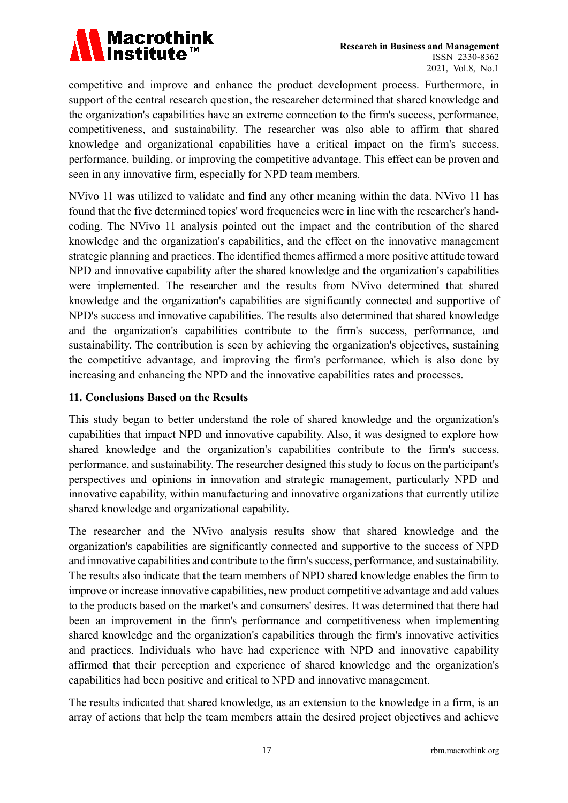

competitive and improve and enhance the product development process. Furthermore, in support of the central research question, the researcher determined that shared knowledge and the organization's capabilities have an extreme connection to the firm's success, performance, competitiveness, and sustainability. The researcher was also able to affirm that shared knowledge and organizational capabilities have a critical impact on the firm's success, performance, building, or improving the competitive advantage. This effect can be proven and seen in any innovative firm, especially for NPD team members.

NVivo 11 was utilized to validate and find any other meaning within the data. NVivo 11 has found that the five determined topics' word frequencies were in line with the researcher's handcoding. The NVivo 11 analysis pointed out the impact and the contribution of the shared knowledge and the organization's capabilities, and the effect on the innovative management strategic planning and practices. The identified themes affirmed a more positive attitude toward NPD and innovative capability after the shared knowledge and the organization's capabilities were implemented. The researcher and the results from NVivo determined that shared knowledge and the organization's capabilities are significantly connected and supportive of NPD's success and innovative capabilities. The results also determined that shared knowledge and the organization's capabilities contribute to the firm's success, performance, and sustainability. The contribution is seen by achieving the organization's objectives, sustaining the competitive advantage, and improving the firm's performance, which is also done by increasing and enhancing the NPD and the innovative capabilities rates and processes.

# **11. Conclusions Based on the Results**

This study began to better understand the role of shared knowledge and the organization's capabilities that impact NPD and innovative capability. Also, it was designed to explore how shared knowledge and the organization's capabilities contribute to the firm's success, performance, and sustainability. The researcher designed this study to focus on the participant's perspectives and opinions in innovation and strategic management, particularly NPD and innovative capability, within manufacturing and innovative organizations that currently utilize shared knowledge and organizational capability.

The researcher and the NVivo analysis results show that shared knowledge and the organization's capabilities are significantly connected and supportive to the success of NPD and innovative capabilities and contribute to the firm's success, performance, and sustainability. The results also indicate that the team members of NPD shared knowledge enables the firm to improve or increase innovative capabilities, new product competitive advantage and add values to the products based on the market's and consumers' desires. It was determined that there had been an improvement in the firm's performance and competitiveness when implementing shared knowledge and the organization's capabilities through the firm's innovative activities and practices. Individuals who have had experience with NPD and innovative capability affirmed that their perception and experience of shared knowledge and the organization's capabilities had been positive and critical to NPD and innovative management.

The results indicated that shared knowledge, as an extension to the knowledge in a firm, is an array of actions that help the team members attain the desired project objectives and achieve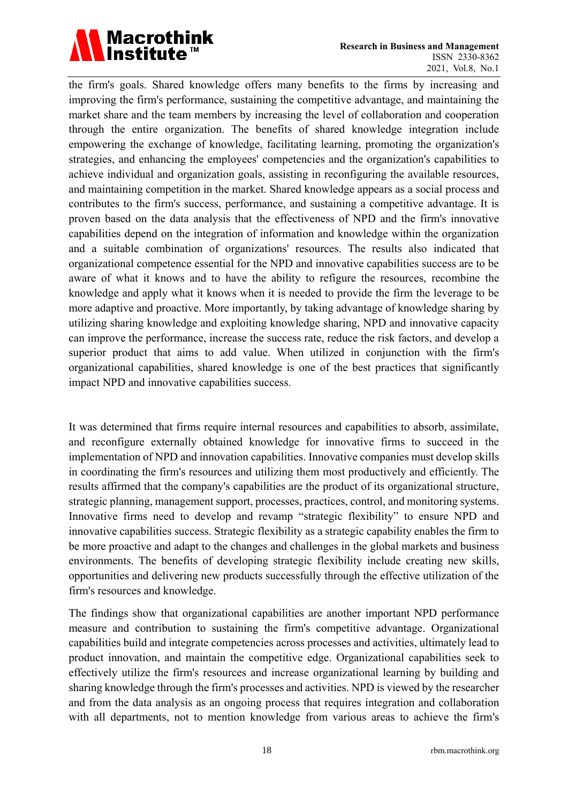

the firm's goals. Shared knowledge offers many benefits to the firms by increasing and improving the firm's performance, sustaining the competitive advantage, and maintaining the market share and the team members by increasing the level of collaboration and cooperation through the entire organization. The benefits of shared knowledge integration include empowering the exchange of knowledge, facilitating learning, promoting the organization's strategies, and enhancing the employees' competencies and the organization's capabilities to achieve individual and organization goals, assisting in reconfiguring the available resources, and maintaining competition in the market. Shared knowledge appears as a social process and contributes to the firm's success, performance, and sustaining a competitive advantage. It is proven based on the data analysis that the effectiveness of NPD and the firm's innovative capabilities depend on the integration of information and knowledge within the organization and a suitable combination of organizations' resources. The results also indicated that organizational competence essential for the NPD and innovative capabilities success are to be aware of what it knows and to have the ability to refigure the resources, recombine the knowledge and apply what it knows when it is needed to provide the firm the leverage to be more adaptive and proactive. More importantly, by taking advantage of knowledge sharing by utilizing sharing knowledge and exploiting knowledge sharing, NPD and innovative capacity can improve the performance, increase the success rate, reduce the risk factors, and develop a superior product that aims to add value. When utilized in conjunction with the firm's organizational capabilities, shared knowledge is one of the best practices that significantly impact NPD and innovative capabilities success.

It was determined that firms require internal resources and capabilities to absorb, assimilate, and reconfigure externally obtained knowledge for innovative firms to succeed in the implementation of NPD and innovation capabilities. Innovative companies must develop skills in coordinating the firm's resources and utilizing them most productively and efficiently. The results affirmed that the company's capabilities are the product of its organizational structure, strategic planning, management support, processes, practices, control, and monitoring systems. Innovative firms need to develop and revamp "strategic flexibility" to ensure NPD and innovative capabilities success. Strategic flexibility as a strategic capability enables the firm to be more proactive and adapt to the changes and challenges in the global markets and business environments. The benefits of developing strategic flexibility include creating new skills, opportunities and delivering new products successfully through the effective utilization of the firm's resources and knowledge.

The findings show that organizational capabilities are another important NPD performance measure and contribution to sustaining the firm's competitive advantage. Organizational capabilities build and integrate competencies across processes and activities, ultimately lead to product innovation, and maintain the competitive edge. Organizational capabilities seek to effectively utilize the firm's resources and increase organizational learning by building and sharing knowledge through the firm's processes and activities. NPD is viewed by the researcher and from the data analysis as an ongoing process that requires integration and collaboration with all departments, not to mention knowledge from various areas to achieve the firm's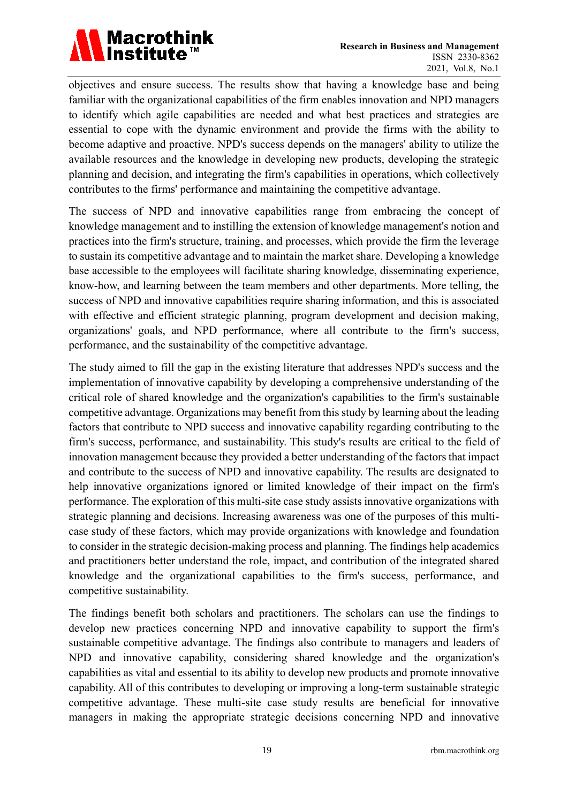

objectives and ensure success. The results show that having a knowledge base and being familiar with the organizational capabilities of the firm enables innovation and NPD managers to identify which agile capabilities are needed and what best practices and strategies are essential to cope with the dynamic environment and provide the firms with the ability to become adaptive and proactive. NPD's success depends on the managers' ability to utilize the available resources and the knowledge in developing new products, developing the strategic planning and decision, and integrating the firm's capabilities in operations, which collectively contributes to the firms' performance and maintaining the competitive advantage.

The success of NPD and innovative capabilities range from embracing the concept of knowledge management and to instilling the extension of knowledge management's notion and practices into the firm's structure, training, and processes, which provide the firm the leverage to sustain its competitive advantage and to maintain the market share. Developing a knowledge base accessible to the employees will facilitate sharing knowledge, disseminating experience, know-how, and learning between the team members and other departments. More telling, the success of NPD and innovative capabilities require sharing information, and this is associated with effective and efficient strategic planning, program development and decision making, organizations' goals, and NPD performance, where all contribute to the firm's success, performance, and the sustainability of the competitive advantage.

The study aimed to fill the gap in the existing literature that addresses NPD's success and the implementation of innovative capability by developing a comprehensive understanding of the critical role of shared knowledge and the organization's capabilities to the firm's sustainable competitive advantage. Organizations may benefit from this study by learning about the leading factors that contribute to NPD success and innovative capability regarding contributing to the firm's success, performance, and sustainability. This study's results are critical to the field of innovation management because they provided a better understanding of the factors that impact and contribute to the success of NPD and innovative capability. The results are designated to help innovative organizations ignored or limited knowledge of their impact on the firm's performance. The exploration of this multi-site case study assists innovative organizations with strategic planning and decisions. Increasing awareness was one of the purposes of this multicase study of these factors, which may provide organizations with knowledge and foundation to consider in the strategic decision-making process and planning. The findings help academics and practitioners better understand the role, impact, and contribution of the integrated shared knowledge and the organizational capabilities to the firm's success, performance, and competitive sustainability.

The findings benefit both scholars and practitioners. The scholars can use the findings to develop new practices concerning NPD and innovative capability to support the firm's sustainable competitive advantage. The findings also contribute to managers and leaders of NPD and innovative capability, considering shared knowledge and the organization's capabilities as vital and essential to its ability to develop new products and promote innovative capability. All of this contributes to developing or improving a long-term sustainable strategic competitive advantage. These multi-site case study results are beneficial for innovative managers in making the appropriate strategic decisions concerning NPD and innovative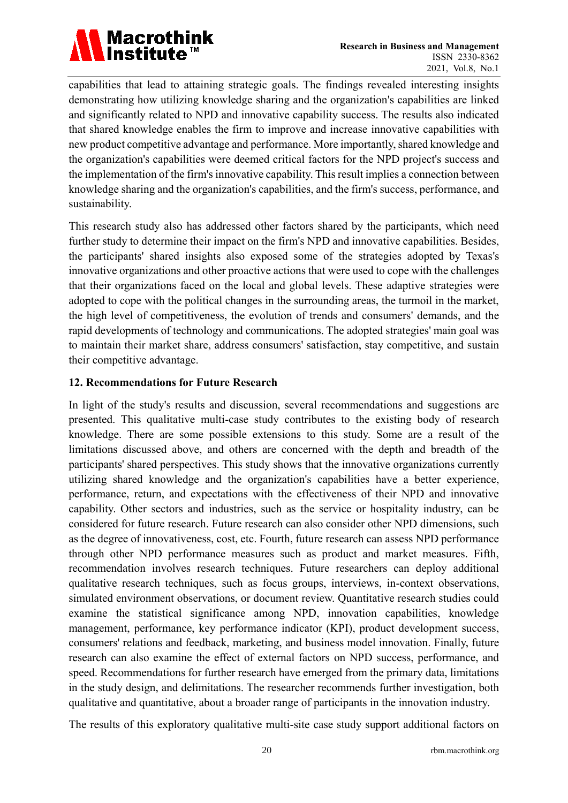

capabilities that lead to attaining strategic goals. The findings revealed interesting insights demonstrating how utilizing knowledge sharing and the organization's capabilities are linked and significantly related to NPD and innovative capability success. The results also indicated that shared knowledge enables the firm to improve and increase innovative capabilities with new product competitive advantage and performance. More importantly, shared knowledge and the organization's capabilities were deemed critical factors for the NPD project's success and the implementation of the firm's innovative capability. This result implies a connection between knowledge sharing and the organization's capabilities, and the firm's success, performance, and sustainability.

This research study also has addressed other factors shared by the participants, which need further study to determine their impact on the firm's NPD and innovative capabilities. Besides, the participants' shared insights also exposed some of the strategies adopted by Texas's innovative organizations and other proactive actions that were used to cope with the challenges that their organizations faced on the local and global levels. These adaptive strategies were adopted to cope with the political changes in the surrounding areas, the turmoil in the market, the high level of competitiveness, the evolution of trends and consumers' demands, and the rapid developments of technology and communications. The adopted strategies' main goal was to maintain their market share, address consumers' satisfaction, stay competitive, and sustain their competitive advantage.

# **12. Recommendations for Future Research**

In light of the study's results and discussion, several recommendations and suggestions are presented. This qualitative multi-case study contributes to the existing body of research knowledge. There are some possible extensions to this study. Some are a result of the limitations discussed above, and others are concerned with the depth and breadth of the participants' shared perspectives. This study shows that the innovative organizations currently utilizing shared knowledge and the organization's capabilities have a better experience, performance, return, and expectations with the effectiveness of their NPD and innovative capability. Other sectors and industries, such as the service or hospitality industry, can be considered for future research. Future research can also consider other NPD dimensions, such as the degree of innovativeness, cost, etc. Fourth, future research can assess NPD performance through other NPD performance measures such as product and market measures. Fifth, recommendation involves research techniques. Future researchers can deploy additional qualitative research techniques, such as focus groups, interviews, in-context observations, simulated environment observations, or document review. Quantitative research studies could examine the statistical significance among NPD, innovation capabilities, knowledge management, performance, key performance indicator (KPI), product development success, consumers' relations and feedback, marketing, and business model innovation. Finally, future research can also examine the effect of external factors on NPD success, performance, and speed. Recommendations for further research have emerged from the primary data, limitations in the study design, and delimitations. The researcher recommends further investigation, both qualitative and quantitative, about a broader range of participants in the innovation industry.

The results of this exploratory qualitative multi-site case study support additional factors on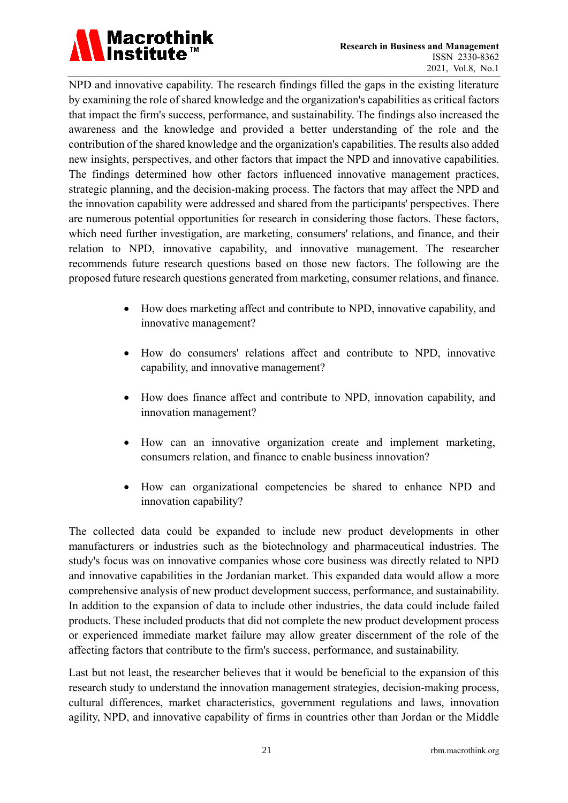

NPD and innovative capability. The research findings filled the gaps in the existing literature by examining the role of shared knowledge and the organization's capabilities as critical factors that impact the firm's success, performance, and sustainability. The findings also increased the awareness and the knowledge and provided a better understanding of the role and the contribution of the shared knowledge and the organization's capabilities. The results also added new insights, perspectives, and other factors that impact the NPD and innovative capabilities. The findings determined how other factors influenced innovative management practices, strategic planning, and the decision-making process. The factors that may affect the NPD and the innovation capability were addressed and shared from the participants' perspectives. There are numerous potential opportunities for research in considering those factors. These factors, which need further investigation, are marketing, consumers' relations, and finance, and their relation to NPD, innovative capability, and innovative management. The researcher recommends future research questions based on those new factors. The following are the proposed future research questions generated from marketing, consumer relations, and finance.

- How does marketing affect and contribute to NPD, innovative capability, and innovative management?
- How do consumers' relations affect and contribute to NPD, innovative capability, and innovative management?
- How does finance affect and contribute to NPD, innovation capability, and innovation management?
- How can an innovative organization create and implement marketing, consumers relation, and finance to enable business innovation?
- How can organizational competencies be shared to enhance NPD and innovation capability?

The collected data could be expanded to include new product developments in other manufacturers or industries such as the biotechnology and pharmaceutical industries. The study's focus was on innovative companies whose core business was directly related to NPD and innovative capabilities in the Jordanian market. This expanded data would allow a more comprehensive analysis of new product development success, performance, and sustainability. In addition to the expansion of data to include other industries, the data could include failed products. These included products that did not complete the new product development process or experienced immediate market failure may allow greater discernment of the role of the affecting factors that contribute to the firm's success, performance, and sustainability.

Last but not least, the researcher believes that it would be beneficial to the expansion of this research study to understand the innovation management strategies, decision-making process, cultural differences, market characteristics, government regulations and laws, innovation agility, NPD, and innovative capability of firms in countries other than Jordan or the Middle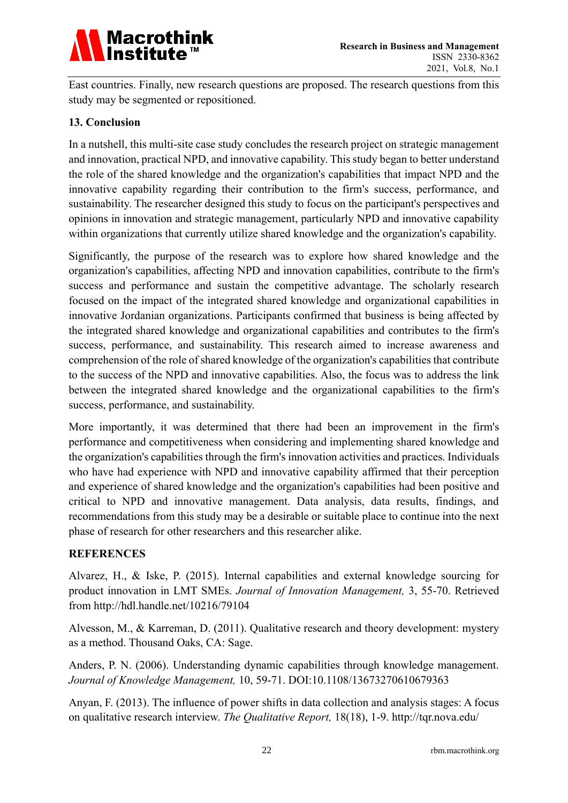

East countries. Finally, new research questions are proposed. The research questions from this study may be segmented or repositioned.

# **13. Conclusion**

In a nutshell, this multi-site case study concludes the research project on strategic management and innovation, practical NPD, and innovative capability. This study began to better understand the role of the shared knowledge and the organization's capabilities that impact NPD and the innovative capability regarding their contribution to the firm's success, performance, and sustainability. The researcher designed this study to focus on the participant's perspectives and opinions in innovation and strategic management, particularly NPD and innovative capability within organizations that currently utilize shared knowledge and the organization's capability.

Significantly, the purpose of the research was to explore how shared knowledge and the organization's capabilities, affecting NPD and innovation capabilities, contribute to the firm's success and performance and sustain the competitive advantage. The scholarly research focused on the impact of the integrated shared knowledge and organizational capabilities in innovative Jordanian organizations. Participants confirmed that business is being affected by the integrated shared knowledge and organizational capabilities and contributes to the firm's success, performance, and sustainability. This research aimed to increase awareness and comprehension of the role of shared knowledge of the organization's capabilities that contribute to the success of the NPD and innovative capabilities. Also, the focus was to address the link between the integrated shared knowledge and the organizational capabilities to the firm's success, performance, and sustainability.

More importantly, it was determined that there had been an improvement in the firm's performance and competitiveness when considering and implementing shared knowledge and the organization's capabilities through the firm's innovation activities and practices. Individuals who have had experience with NPD and innovative capability affirmed that their perception and experience of shared knowledge and the organization's capabilities had been positive and critical to NPD and innovative management. Data analysis, data results, findings, and recommendations from this study may be a desirable or suitable place to continue into the next phase of research for other researchers and this researcher alike.

#### **REFERENCES**

Alvarez, H., & Iske, P. (2015). Internal capabilities and external knowledge sourcing for product innovation in LMT SMEs. *Journal of Innovation Management,* 3, 55-70. Retrieved from http://hdl.handle.net/10216/79104

Alvesson, M., & Karreman, D. (2011). Qualitative research and theory development: mystery as a method. Thousand Oaks, CA: Sage.

Anders, P. N. (2006). Understanding dynamic capabilities through knowledge management. *Journal of Knowledge Management,* 10, 59-71. DOI:10.1108/13673270610679363

Anyan, F. (2013). The influence of power shifts in data collection and analysis stages: A focus on qualitative research interview. *The Qualitative Report,* 18(18), 1-9. http://tqr.nova.edu/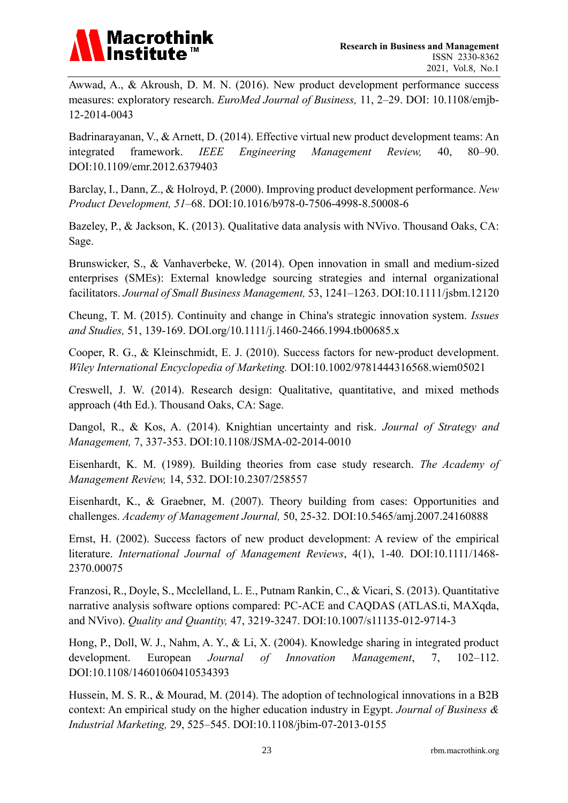

Awwad, A., & Akroush, D. M. N. (2016). New product development performance success measures: exploratory research. *EuroMed Journal of Business,* 11, 2–29. DOI: 10.1108/emjb-12-2014-0043

Badrinarayanan, V., & Arnett, D. (2014). Effective virtual new product development teams: An integrated framework. *IEEE Engineering Management Review,* 40, 80–90. DOI:10.1109/emr.2012.6379403

Barclay, I., Dann, Z., & Holroyd, P. (2000). Improving product development performance. *New Product Development, 51*–68. DOI:10.1016/b978-0-7506-4998-8.50008-6

Bazeley, P., & Jackson, K. (2013). Qualitative data analysis with NVivo. Thousand Oaks, CA: Sage.

Brunswicker, S., & Vanhaverbeke, W. (2014). Open innovation in small and medium-sized enterprises (SMEs): External knowledge sourcing strategies and internal organizational facilitators. *Journal of Small Business Management,* 53, 1241–1263. DOI:10.1111/jsbm.12120

Cheung, T. M. (2015). Continuity and change in China's strategic innovation system. *Issues and Studies,* 51, 139-169. DOI.org/10.1111/j.1460-2466.1994.tb00685.x

Cooper, R. G., & Kleinschmidt, E. J. (2010). Success factors for new-product development. *Wiley International Encyclopedia of Marketing.* DOI:10.1002/9781444316568.wiem05021

Creswell, J. W. (2014). Research design: Qualitative, quantitative, and mixed methods approach (4th Ed.). Thousand Oaks, CA: Sage.

Dangol, R., & Kos, A. (2014). Knightian uncertainty and risk. *Journal of Strategy and Management,* 7, 337-353. DOI:10.1108/JSMA-02-2014-0010

Eisenhardt, K. M. (1989). Building theories from case study research. *The Academy of Management Review,* 14, 532. DOI:10.2307/258557

Eisenhardt, K., & Graebner, M. (2007). Theory building from cases: Opportunities and challenges. *Academy of Management Journal,* 50, 25-32. DOI:10.5465/amj.2007.24160888

Ernst, H. (2002). Success factors of new product development: A review of the empirical literature. *International Journal of Management Reviews*, 4(1), 1-40. DOI:10.1111/1468- 2370.00075

Franzosi, R., Doyle, S., Mcclelland, L. E., Putnam Rankin, C., & Vicari, S. (2013). Quantitative narrative analysis software options compared: PC-ACE and CAQDAS (ATLAS.ti, MAXqda, and NVivo). *Quality and Quantity,* 47, 3219-3247. DOI:10.1007/s11135-012-9714-3

Hong, P., Doll, W. J., Nahm, A. Y., & Li, X. (2004). Knowledge sharing in integrated product development. European *Journal of Innovation Management*, 7, 102–112. DOI:10.1108/14601060410534393

Hussein, M. S. R., & Mourad, M. (2014). The adoption of technological innovations in a B2B context: An empirical study on the higher education industry in Egypt. *Journal of Business & Industrial Marketing,* 29, 525–545. DOI:10.1108/jbim-07-2013-0155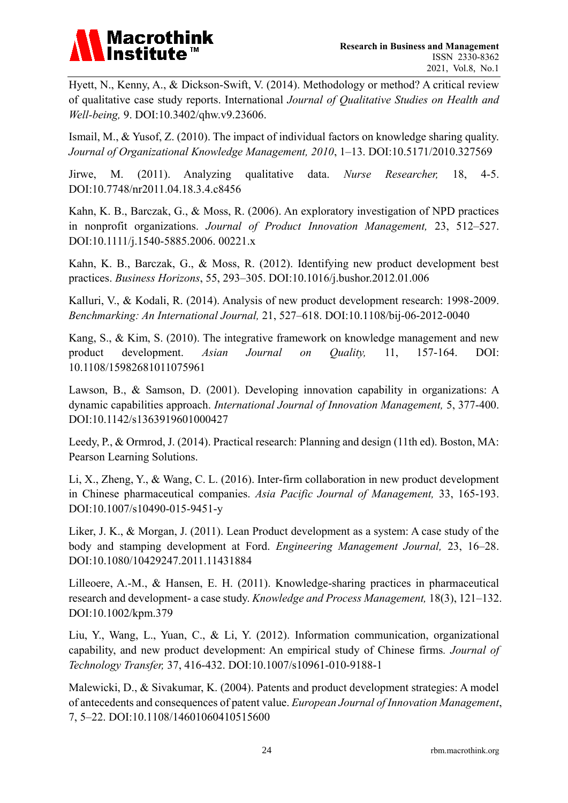# **Macrothink**

Hyett, N., Kenny, A., & Dickson-Swift, V. (2014). Methodology or method? A critical review of qualitative case study reports. International *Journal of Qualitative Studies on Health and Well-being,* 9. DOI:10.3402/qhw.v9.23606.

Ismail, M., & Yusof, Z. (2010). The impact of individual factors on knowledge sharing quality. *Journal of Organizational Knowledge Management, 2010*, 1–13. DOI:10.5171/2010.327569

Jirwe, M. (2011). Analyzing qualitative data. *Nurse Researcher,* 18, 4-5. DOI:10.7748/nr2011.04.18.3.4.c8456

Kahn, K. B., Barczak, G., & Moss, R. (2006). An exploratory investigation of NPD practices in nonprofit organizations. *Journal of Product Innovation Management,* 23, 512–527. DOI:10.1111/j.1540-5885.2006. 00221.x

Kahn, K. B., Barczak, G., & Moss, R. (2012). Identifying new product development best practices. *Business Horizons*, 55, 293–305. DOI:10.1016/j.bushor.2012.01.006

Kalluri, V., & Kodali, R. (2014). Analysis of new product development research: 1998-2009. *Benchmarking: An International Journal,* 21, 527–618. DOI:10.1108/bij-06-2012-0040

Kang, S., & Kim, S. (2010). The integrative framework on knowledge management and new product development. *Asian Journal on Quality,* 11, 157-164. DOI: 10.1108/15982681011075961

Lawson, B., & Samson, D. (2001). Developing innovation capability in organizations: A dynamic capabilities approach. *International Journal of Innovation Management,* 5, 377-400. DOI:10.1142/s1363919601000427

Leedy, P., & Ormrod, J. (2014). Practical research: Planning and design (11th ed). Boston, MA: Pearson Learning Solutions.

Li, X., Zheng, Y., & Wang, C. L. (2016). Inter-firm collaboration in new product development in Chinese pharmaceutical companies. *Asia Pacific Journal of Management,* 33, 165-193. DOI:10.1007/s10490-015-9451-y

Liker, J. K., & Morgan, J. (2011). Lean Product development as a system: A case study of the body and stamping development at Ford. *Engineering Management Journal,* 23, 16–28. DOI:10.1080/10429247.2011.11431884

Lilleoere, A.-M., & Hansen, E. H. (2011). Knowledge-sharing practices in pharmaceutical research and development- a case study. *Knowledge and Process Management,* 18(3), 121–132. DOI:10.1002/kpm.379

Liu, Y., Wang, L., Yuan, C., & Li, Y. (2012). Information communication, organizational capability, and new product development: An empirical study of Chinese firms*. Journal of Technology Transfer,* 37, 416-432. DOI:10.1007/s10961-010-9188-1

Malewicki, D., & Sivakumar, K. (2004). Patents and product development strategies: A model of antecedents and consequences of patent value. *European Journal of Innovation Management*, 7, 5–22. DOI:10.1108/14601060410515600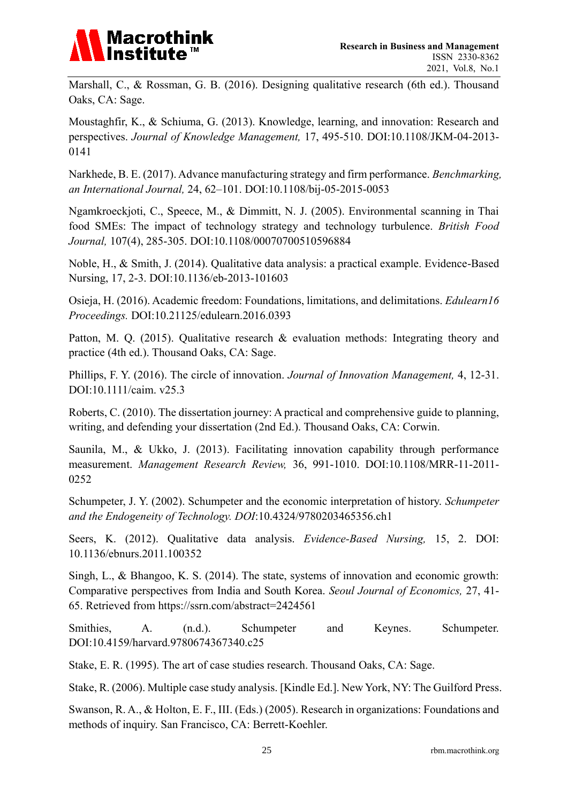

Marshall, C., & Rossman, G. B. (2016). Designing qualitative research (6th ed.). Thousand Oaks, CA: Sage.

Moustaghfir, K., & Schiuma, G. (2013). Knowledge, learning, and innovation: Research and perspectives. *Journal of Knowledge Management,* 17, 495-510. DOI:10.1108/JKM-04-2013- 0141

Narkhede, B. E. (2017). Advance manufacturing strategy and firm performance. *Benchmarking, an International Journal,* 24, 62–101. DOI:10.1108/bij-05-2015-0053

Ngamkroeckjoti, C., Speece, M., & Dimmitt, N. J. (2005). Environmental scanning in Thai food SMEs: The impact of technology strategy and technology turbulence. *British Food Journal,* 107(4), 285-305. DOI:10.1108/00070700510596884

Noble, H., & Smith, J. (2014). Qualitative data analysis: a practical example. Evidence-Based Nursing, 17, 2-3. DOI:10.1136/eb-2013-101603

Osieja, H. (2016). Academic freedom: Foundations, limitations, and delimitations. *Edulearn16 Proceedings.* DOI:10.21125/edulearn.2016.0393

Patton, M. Q. (2015). Qualitative research & evaluation methods: Integrating theory and practice (4th ed.). Thousand Oaks, CA: Sage.

Phillips, F. Y. (2016). The circle of innovation. *Journal of Innovation Management,* 4, 12-31. DOI:10.1111/caim. v25.3

Roberts, C. (2010). The dissertation journey: A practical and comprehensive guide to planning, writing, and defending your dissertation (2nd Ed.). Thousand Oaks, CA: Corwin.

Saunila, M., & Ukko, J. (2013). Facilitating innovation capability through performance measurement. *Management Research Review,* 36, 991-1010. DOI:10.1108/MRR-11-2011- 0252

Schumpeter, J. Y. (2002). Schumpeter and the economic interpretation of history. *Schumpeter and the Endogeneity of Technology. DOI*:10.4324/9780203465356.ch1

Seers, K. (2012). Qualitative data analysis. *Evidence-Based Nursing,* 15, 2. DOI: 10.1136/ebnurs.2011.100352

Singh, L., & Bhangoo, K. S. (2014). The state, systems of innovation and economic growth: Comparative perspectives from India and South Korea. *Seoul Journal of Economics,* 27, 41- 65. Retrieved from https://ssrn.com/abstract=2424561

Smithies, A. (n.d.). Schumpeter and Keynes. Schumpeter. DOI:10.4159/harvard.9780674367340.c25

Stake, E. R. (1995). The art of case studies research. Thousand Oaks, CA: Sage.

Stake, R. (2006). Multiple case study analysis. [Kindle Ed.]. New York, NY: The Guilford Press.

Swanson, R. A., & Holton, E. F., III. (Eds.) (2005). Research in organizations: Foundations and methods of inquiry. San Francisco, CA: Berrett-Koehler.